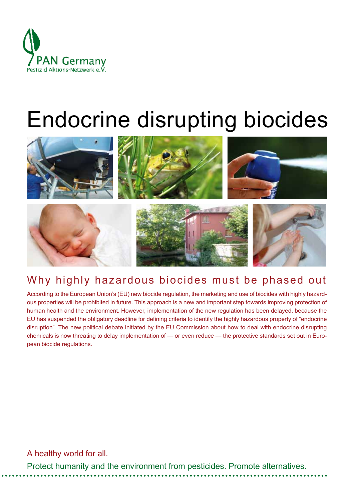

# Endocrine disrupting biocides



# Why highly hazardous biocides must be phased out

According to the European Union's (EU) new biocide regulation, the marketing and use of biocides with highly hazardous properties will be prohibited in future. This approach is a new and important step towards improving protection of human health and the environment. However, implementation of the new regulation has been delayed, because the EU has suspended the obligatory deadline for defining criteria to identify the highly hazardous property of "endocrine disruption". The new political debate initiated by the EU Commission about how to deal with endocrine disrupting chemicals is now threating to delay implementation of — or even reduce — the protective standards set out in European biocide regulations.

A healthy world for all.

Protect humanity and the environment from pesticides. Promote alternatives.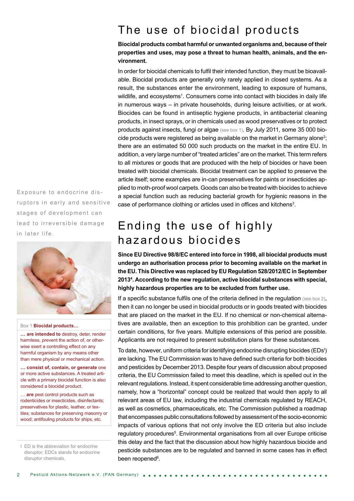# The use of biocidal products

#### **Biocidal products combat harmful or unwanted organisms and, because of their properties and uses, may pose a threat to human health, animals, and the environment.**

In order for biocidal chemicals to fulfil their intended function, they must be bioavailable. Biocidal products are generally only rarely applied in closed systems. As a result, the substances enter the environment, leading to exposure of humans, wildlife, and ecosystems<sup>1</sup>. Consumers come into contact with biocides in daily life in numerous ways – in private households, during leisure activities, or at work. Biocides can be found in antiseptic hygiene products, in antibacterial cleaning products, in insect sprays, or in chemicals used as wood preservatives or to protect products against insects, fungi or algae (see box 1). By July 2011, some 35 000 biocide products were registered as being available on the market in Germany alone<sup>2</sup>; there are an estimated 50 000 such products on the market in the entire EU. In addition, a very large number of "treated articles" are on the market. This term refers to all mixtures or goods that are produced with the help of biocides or have been treated with biocidal chemicals. Biocidal treatment can be applied to preserve the article itself; some examples are in-can preservatives for paints or insecticides applied to moth-proof wool carpets. Goods can also be treated with biocides to achieve a special function such as reducing bacterial growth for hygienic reasons in the case of performance clothing or articles used in offices and kitchens<sup>3</sup>.

# Ending the use of highly hazardous biocides

**Since EU Directive 98/8/EC entered into force in 1998, all biocidal products must undergo an authorisation process prior to becoming available on the market in the EU. This Directive was replaced by EU Regulation 528/2012/EC in September 20134 . According to the new regulation, active biocidal substances with special, highly hazardous properties are to be excluded from further use.** 

If a specific substance fulfils one of the criteria defined in the regulation (see box 2), then it can no longer be used in biocidal products or in goods treated with biocides that are placed on the market in the EU. If no chemical or non-chemical alternatives are available, then an exception to this prohibition can be granted, under certain conditions, for five years. Multiple extensions of this period are possible. Applicants are not required to present substitution plans for these substances.

To date, however, uniform criteria for identifying endocrine disrupting biocides (EDs<sup>I</sup>) are lacking. The EU Commission was to have defined such criteria for both biocides and pesticides by December 2013. Despite four years of discussion about proposed criteria, the EU Commission failed to meet this deadline, which is spelled out in the relevant regulations. Instead, it spent considerable time addressing another question, namely, how a "horizontal" concept could be realized that would then apply to all relevant areas of EU law, including the industrial chemicals regulated by REACH, as well as cosmetics, pharmaceuticals, etc. The Commission published a roadmap that encompasses public consultations followed by assessment of the socio-economic impacts of various options that not only involve the ED criteria but also include regulatory procedures<sup>5</sup>. Environmental organisations from all over Europe criticise this delay and the fact that the discussion about how highly hazardous biocide and pesticide substances are to be regulated and banned in some cases has in effect been reopened<sup>6</sup>.

Exposure to endocrine dis ruptors in early and sensitive stages of development can lead to irreversible damage in later life.



#### Box 1 **Biocidal products…**

**… are intended to** destroy, deter, render harmless, prevent the action of, or otherwise exert a controlling effect on any harmful organism by any means other than mere physical or mechanical action.

**… consist of, contain, or generate** one or more active substances. A treated article with a primary biocidal function is also considered a biocidal product.

… **are** pest control products such as rodenticides or insecticides, disinfectants; preservatives for plastic, leather, or textiles; substances for preserving masonry or wood; antifouling products for ships, etc.

I ED is the abbreviation for endocrine disruptor; EDCs stands for endocrine disruptor chemicals.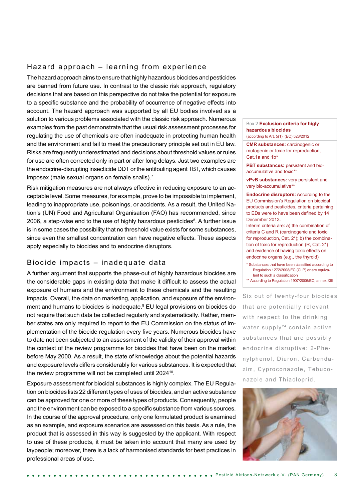# Hazard approach – learning from experience

The hazard approach aims to ensure that highly hazardous biocides and pesticides are banned from future use. In contrast to the classic risk approach, regulatory decisions that are based on this perspective do not take the potential for exposure to a specific substance and the probability of occurrence of negative effects into account. The hazard approach was supported by all EU bodies involved as a solution to various problems associated with the classic risk approach. Numerous examples from the past demonstrate that the usual risk assessment processes for regulating the use of chemicals are often inadequate in protecting human health and the environment and fail to meet the precautionary principle set out in EU law. Risks are frequently underestimated and decisions about threshold values or rules for use are often corrected only in part or after long delays. Just two examples are the endocrine-disrupting insecticide DDT or the antifouling agent TBT, which causes imposex (male sexual organs on female snails).7

Risk mitigation measures are not always effective in reducing exposure to an acceptable level. Some measures, for example, prove to be impossible to implement, leading to inappropriate use, poisonings, or accidents. As a result, the United Nation's (UN) Food and Agricultural Organisation (FAO) has recommended, since 2006, a step-wise end to the use of highly hazardous pesticides<sup>8</sup>. A further issue is in some cases the possibility that no threshold value exists for some substances, since even the smallest concentration can have negative effects. These aspects apply especially to biocides and to endocrine disruptors.

## Biocide impacts – inadequate data

A further argument that supports the phase-out of highly hazardous biocides are the considerable gaps in existing data that make it difficult to assess the actual exposure of humans and the environment to these chemicals and the resulting impacts. Overall, the data on marketing, application, and exposure of the environment and humans to biocides is inadequate.<sup>9</sup> EU legal provisions on biocides do not require that such data be collected regularly and systematically. Rather, member states are only required to report to the EU Commission on the status of implementation of the biocide regulation every five years. Numerous biocides have to date not been subjected to an assessment of the validity of their approval within the context of the review programme for biocides that have been on the market before May 2000. As a result, the state of knowledge about the potential hazards and exposure levels differs considerably for various substances. It is expected that the review programme will not be completed until 2024<sup>10</sup>.

Exposure assessment for biocidal substances is highly complex. The EU Regulation on biocides lists 22 different types of uses of biocides, and an active substance can be approved for one or more of these types of products. Consequently, people and the environment can be exposed to a specific substance from various sources. In the course of the approval procedure, only one formulated product is examined as an example, and exposure scenarios are assessed on this basis. As a rule, the product that is assessed in this way is suggested by the applicant. With respect to use of these products, it must be taken into account that many are used by laypeople; moreover, there is a lack of harmonised standards for best practices in professional areas of use.

#### Box 2 **Exclusion criteria for higly hazardous biocides** (according to Art. 5(1), (EC) 528/2012

**CMR substances:** carcinogenic or mutagenic or toxic for reproduction, Cat.1a and 1b\*

**PBT substances:** persistent and bioaccumulative and toxic\*\*

**vPvB substances:** very persistent and very bio-accumulative\*\*

**Endocrine disruptors:** According to the EU Commission's Regulation on biocidal products and pesticides, criteria pertaining to EDs were to have been defined by 14 December 2013.

Interim criteria are: a) the combination of criteria C and R (carcinogenic and toxic for reproduction, Cat. 2\*); b) the combination of toxic for reproduction (R, Cat. 2\*) and evidence of having toxic effects on endocrine organs (e.g., the thyroid)

\* Substances that have been classified according to Regulation 1272/2008/EC (CLP) or are equivalent to such a classification

\*\* According to Regulation 1907/2006/EC, annex XIII

Six out of twenty-four biocides that are potentially relevant with respect to the drinking water supply<sup>24</sup> contain active substances that are possibly endocrine disruptive: 2-Phenylphenol, Diuron, Carbendazim, Cyproconazole, Tebuconazole and Thiacloprid.

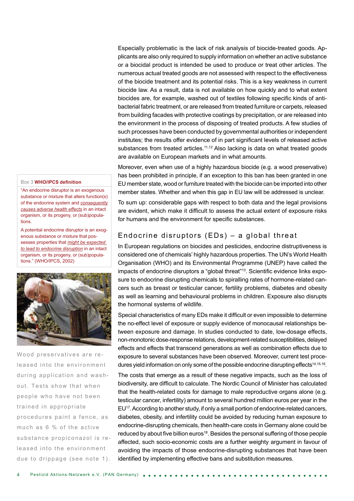Especially problematic is the lack of risk analysis of biocide-treated goods. Applicants are also only required to supply information on whether an active substance or a biocidal product is intended be used to produce or treat other articles. The numerous actual treated goods are not assessed with respect to the effectiveness of the biocide treatment and its potential risks. This is a key weakness in current biocide law. As a result, data is not available on how quickly and to what extent biocides are, for example, washed out of textiles following specific kinds of antibacterial fabric treatment, or are released from treated furniture or carpets, released from building facades with protective coatings by precipitation, or are released into the environment in the process of disposing of treated products. A few studies of such processes have been conducted by governmental authorities or independent institutes; the results offer evidence of in part significant levels of released active substances from treated articles.<sup>11,12</sup> Also lacking is data on what treated goods are available on European markets and in what amounts.

Moreover, even when use of a highly hazardous biocide (e.g. a wood preservative) has been prohibited in principle, if an exception to this ban has been granted in one EU member state, wood or furniture treated with the biocide can be imported into other member states. Whether and when this gap in EU law will be addressed is unclear.

To sum up: considerable gaps with respect to both data and the legal provisions are evident, which make it difficult to assess the actual extent of exposure risks for humans and the environment for specific substances.

## Endocrine disruptors (EDs) – a global threat

In European regulations on biocides and pesticides, endocrine distruptiveness is considered one of chemicals' highly hazardous properties. The UN's World Health Organisation (WHO) and its Environmental Programme (UNEP) have called the impacts of endocrine disruptors a "global threat"13. Scientific evidence links exposure to endocrine disrupting chemicals to spiralling rates of hormone-related cancers such as breast or testicular cancer, fertility problems, diabetes and obesity as well as learning and behavioural problems in children. Exposure also disrupts the hormonal systems of wildlife.

Special characteristics of many EDs make it difficult or even impossible to determine the no-effect level of exposure or supply evidence of monocausal relationships between exposure and damage. In studies conducted to date, low-dosage effects, non-monotonic dose-response relations, development-related susceptibilities, delayed effects and effects that transcend generations as well as combination effects due to exposure to several substances have been observed. Moreover, current test procedures yield information on only some of the possible endocrine disrupting effects<sup>14,15,16</sup>.

The costs that emerge as a result of these negative impacts, such as the loss of biodiversity, are difficult to calculate. The Nordic Council of Minister has calculated that the health-related costs for damage to male reproductive organs alone (e.g. testicular cancer, infertility) amount to several hundred million euros per year in the EU<sup>17</sup>. According to another study, if only a small portion of endocrine-related cancers, diabetes, obesity, and infertility could be avoided by reducing human exposure to endocrine-disrupting chemicals, then health-care costs in Germany alone could be reduced by about five billion euros<sup>18</sup>. Besides the personal suffering of those people affected, such socio-economic costs are a further weighty argument in favour of avoiding the impacts of those endocrine-disrupting substances that have been identified by implementing effective bans and substitution measures.

#### Box 3 **WHO/IPCS definition**

"An endocrine disruptor is an exogenous substance or mixture that alters function(s) of the endocrine system and *consequently causes adverse health effects* in an intact organism, or its progeny, or (sub)populations.

A potential endocrine disruptor is an exogenous substance or mixture that possesses properties that *might be expected to lead to endocrine disruption* in an intact organism, or its progeny, or (sub)populations." (WHO/IPCS, 2002)



Wood preservatives are released into the environment during application and washout. Tests show that when people who have not been trained in appropriate procedures paint a fence, as much as 6 % of the active substance propiconazol is released into the environment due to drippage (see note 1).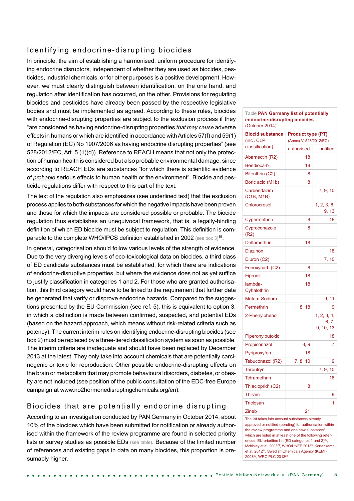## Identifying endocrine-disrupting biocides

In principle, the aim of establishing a harmonised, uniform procedure for identifying endocrine disruptors, independent of whether they are used as biocides, pesticides, industrial chemicals, or for other purposes is a positive development. However, we must clearly distinguish between identification, on the one hand, and regulation after identification has occurred, on the other. Provisions for regulating biocides and pesticides have already been passed by the respective legislative bodies and must be implemented as agreed. According to these rules, biocides with endocrine-disrupting properties are subject to the exclusion process if they "are considered as having endocrine-disrupting properties *that may cause* adverse effects in humans or which are identified in accordance with Articles 57(f) and 59(1) of Regulation (EC) No 1907/2006 as having endocrine disrupting properties" (see 528/2012/EC, Art. 5 (1)(d)). Reference to REACH means that not only the protection of human health is considered but also probable environmental damage, since according to REACH EDs are substances "for which there is scientific evidence of *probable* serious effects to human health or the environment". Biocide and pesticide regulations differ with respect to this part of the text.

The text of the regulation also emphasizes (see underlined text) that the exclusion process applies to both substances for which the negative impacts have been proven and those for which the impacts are considered possible or probable. The biocide regulation thus establishes an unequivocal framework, that is, a legally-binding definition of which ED biocide must be subject to regulation. This definition is comparable to the complete WHO/IPCS definition established in 2002 (see box 3)<sup>19</sup>.

In general, categorisation should follow various levels of the strength of evidence. Due to the very diverging levels of eco-toxicological data on biocides, a third class of ED candidate substances must be established, for which there are indications of endocrine-disruptive properties, but where the evidence does not as yet suffice to justify classification in categories 1 and 2. For those who are granted authorisation, this third category would have to be linked to the requirement that further data be generated that verify or disprove endocrine hazards. Compared to the suggestions presented by the EU Commission (see ref. 5), this is equivalent to option 3, in which a distinction is made between confirmed, suspected, and potential EDs (based on the hazard approach, which means without risk-related criteria such as potency). The current interim rules on identifying endocrine-disrupting biocides (see box 2) must be replaced by a three-tiered classification system as soon as possible. The interim criteria are inadequate and should have been replaced by December 2013 at the latest. They only take into account chemicals that are potentially carcinogenic or toxic for reproduction. Other possible endocrine-disrupting effects on the brain or metabolism that may promote behavioural disorders, diabetes, or obesity are not included (see position of the public consultation of the EDC-free Europe campaign at www.no2hormonedisruptingchemicals.org/en).

## Biocides that are potentially endocrine disrupting

According to an investigation conducted by PAN Germany in October 2014, about 10% of the biocides which have been submitted for notification or already authorised within the framework of the review programme are found in selected priority lists or survey studies as possible EDs (see table). Because of the limited number of references and existing gaps in data on many biocides, this proportion is presumably higher.

| Table PAN Germany list of potentially<br>endocrine-disrupting biocides<br>(October 2014) |                                                    |                                   |
|------------------------------------------------------------------------------------------|----------------------------------------------------|-----------------------------------|
| <b>Biocid substance</b><br>(incl. CLP<br>classification)                                 | <b>Product type (PT)</b><br>(Annex V, 528/2012/EC) |                                   |
|                                                                                          | authorised                                         | notified                          |
| Abamectin (R2)                                                                           | 18                                                 |                                   |
| <b>Bendiocarb</b>                                                                        | 18                                                 |                                   |
| Bifenthrin (C2)                                                                          | 8                                                  |                                   |
| Boric acid (M1b)                                                                         | 8                                                  |                                   |
| Carbendazim<br>(C1B, M1B)                                                                |                                                    | 7, 9, 10                          |
| Chlorocresol                                                                             |                                                    | 1, 2, 3, 6,<br>9, 13              |
| Cypermethrin                                                                             | 8                                                  | 18                                |
| Cyproconazole<br>(R2)                                                                    | 8                                                  |                                   |
| Deltamethrin                                                                             | 18                                                 |                                   |
| <b>Diazinon</b>                                                                          |                                                    | 18                                |
| Diuron (C2)                                                                              |                                                    | 7, 10                             |
| Fenoxycarb (C2)                                                                          | 8                                                  |                                   |
| Fipronil                                                                                 | 18                                                 |                                   |
| lambda-<br>Cyhalothrin                                                                   | 18                                                 |                                   |
| Metam-Sodium                                                                             |                                                    | 9, 11                             |
| Permethrin                                                                               | 8, 18                                              | 9                                 |
| 2-Phenylphenol                                                                           |                                                    | 1, 2, 3, 4,<br>6, 7,<br>9, 10, 13 |
| Piperonylbutoxid                                                                         |                                                    | 18                                |
| Propiconazol                                                                             | 8, 9                                               | 7                                 |
| Pyriproxyfen                                                                             | 18                                                 |                                   |
| Tebuconazol (R2)                                                                         | 7, 8, 10                                           | 9                                 |
| <b>Terbutryn</b>                                                                         |                                                    | 7, 9, 10                          |
| <b>Tetramethrin</b>                                                                      |                                                    | 18                                |
| Thiacloprid* (C2)                                                                        | 8                                                  |                                   |
| Thiram                                                                                   |                                                    | 9                                 |
| <b>Triclosan</b>                                                                         |                                                    | 1                                 |
| Zineb                                                                                    | 21                                                 |                                   |
|                                                                                          |                                                    |                                   |

The list takes into account substances already approved or notified (pending) for authorisation within the review programme and one new substance' which are listed in at least one of the following references: EU priorities list (ED categories 1 and 2)<sup>2</sup> Mckinlay et al. 2008<sup>21</sup>, WHO/UNEP 2013<sup>9</sup>, Kortenkamp et al. 2012<sup>11</sup>, Swedish Chemicals Agency (KEMI) 200822, WRC PLC 201323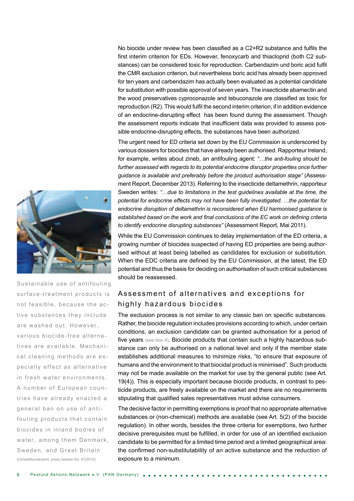No biocide under review has been classified as a C2+R2 substance and fulfils the first interim criterion for EDs. However, fenoxycarb and thiacloprid (both C2 substances) can be considered toxic for reproduction. Carbendazim und boric acid fulfil the CMR exclusion criterion, but nevertheless boric acid has already been approved for ten years and carbendazim has actually been evaluated as a potential candidate for substitution with possible approval of seven years. The insecticide abamectin and the wood preservatives cyproconazole and tebuconazole are classified as toxic for reproduction (R2). This would fulfil the second interim criterion, if in addition evidence of an endocrine-disrupting effect has been found during the assessment. Though the assessment reports indicate that insufficient data was provided to assess possible endocrine-disrupting effects, the substances have been authorized.

The urgent need for ED criteria set down by the EU Commission is underscored by various dossiers for biocides that have already been authorised. Rapporteur Ireland, for example, writes about zineb, an antifouling agent: *"…the anti-fouling should be*  further assessed with regards to its potential endocrine disruptor properties once further *guidance is available and preferably before the product authorisation stage"* (Assessment Report, December 2013). Referring to the insecticide deltamethrin, rapporteur Sweden writes: *"…due to limitations in the test guidelines available at the time, the potential for endocrine effects may not have been fully investigated. …the potential for endocrine disruption of deltamethrin is reconsidered when EU harmonised guidance is established based on the work and final conclusions of the EC work on defining criteria to identify endocrine disrupting substances"* (Assessment Report, Mai 2011).

While the EU Commission continues to delay implementation of the ED criteria, a growing number of biocides suspected of having ED properties are being authorised without at least being labelled as candidates for exclusion or substitution. When the EDC criteria are defined by the EU Commission, at the latest, the ED potential and thus the basis for deciding on authorisation of such critical substances should be reassessed.

# Assessment of alternatives and exceptions for highly hazardous biocides

The exclusion process is not similar to any classic ban on specific substances. Rather, the biocide regulation includes provisions according to which, under certain conditions, an exclusion candidate can be granted authorisation for a period of five years (see box 4). Biocide products that contain such a highly hazardous substance can only be authorised on a national level and only if the member state establishes additional measures to minimize risks, "to ensure that exposure of humans and the environment to that biocidal product is minimised". Such products may not be made available on the market for use by the general public (see Art. 19(4)). This is especially important because biocide products, in contrast to pesticide products, are freely available on the market and there are no requirements stipulating that qualified sales representatives must advise consumers.

The decisive factor in permitting exemptions is proof that no appropriate alternative substances or (non-chemical) methods are available (see Art. 5(2) of the biocide regulation). In other words, besides the three criteria for exemptions, two further decisive prerequisites must be fulfilled, in order for use of an identified exclusion candidate to be permitted for a limited time period and a limited geographical area: the confirmed non-substitutability of an active substance and the reduction of exposure to a minimum.



Sustainable use of antifouling surface-treatment products is not feasible, because the active substances they include are washed out. However, various biocide-free alternatives are available. Mechanical cleaning methods are especially effect as alternative in fresh water environments. A number of European countries have already enacted a general ban on use of antifouling products that contain biocides in inland bodies of water, among them Denmark, Sweden, and Great Britain (Umweltbundesamt, press release No. 47/2014).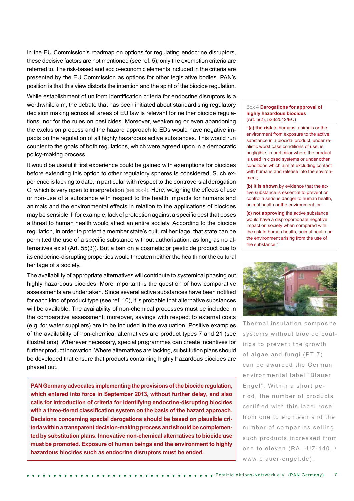In the EU Commission's roadmap on options for regulating endocrine disruptors, these decisive factors are not mentioned (see ref. 5); only the exemption criteria are referred to. The risk-based and socio-economic elements included in the criteria are presented by the EU Commission as options for other legislative bodies. PAN's position is that this view distorts the intention and the spirit of the biocide regulation.

While establishment of uniform identification criteria for endocrine disruptors is a worthwhile aim, the debate that has been initiated about standardising regulatory decision making across all areas of EU law is relevant for neither biocide regulations, nor for the rules on pesticides. Moreover, weakening or even abandoning the exclusion process and the hazard approach to EDs would have negative impacts on the regulation of all highly hazardous active substances. This would run counter to the goals of both regulations, which were agreed upon in a democratic policy-making process.

It would be useful if first experience could be gained with exemptions for biocides before extending this option to other regulatory spheres is considered. Such experience is lacking to date, in particular with respect to the controversial derogation C, which is very open to interpretation (see box 4). Here, weighing the effects of use or non-use of a substance with respect to the health impacts for humans and animals and the environmental effects in relation to the applications of biocides may be sensible if, for example, lack of protection against a specific pest that poses a threat to human health would affect an entire society. According to the biocide regulation, in order to protect a member state's cultural heritage, that state can be permitted the use of a specific substance without authorisation, as long as no alternatives exist (Art. 55(3)). But a ban on a cosmetic or pesticide product due to its endocrine-disrupting properties would threaten neither the health nor the cultural heritage of a society.

The availability of appropriate alternatives will contribute to systemical phasing out highly hazardous biocides. More important is the question of how comparative assessments are undertaken. Since several active substances have been notified for each kind of product type (see ref. 10), it is probable that alternative substances will be available. The availability of non-chemical processes must be included in the comparative assessment; moreover, savings with respect to external costs (e.g. for water suppliers) are to be included in the evaluation. Positive examples of the availability of non-chemical alternatives are product types 7 and 21 (see illustrations). Wherever necessary, special programmes can create incentives for further product innovation. Where alternatives are lacking, substitution plans should be developed that ensure that products containing highly hazardous biocides are phased out.

**PAN Germany advocates implementing the provisions of the biocide regulation, which entered into force in September 2013, without further delay, and also calls for introduction of criteria for identifying endocrine-disrupting biocides with a three-tiered classification system on the basis of the hazard approach. Decisions concerning special derogations should be based on plausible criteria within a transparent decision-making process and should be complemented by substitution plans. Innovative non-chemical alternatives to biocide use must be promoted. Exposure of human beings and the environment to highly hazardous biocides such as endocrine disruptors must be ended.** 

#### Box 4 **Derogations for approval of highly hazardous biocides**  (Art. 5(2), 528/2012/EC)

**"(a) the risk** to humans, animals or the environment from exposure to the active substance in a biocidal product, under realistic worst case conditions of use, is negligible, in particular where the product is used in closed systems or under other conditions which aim at excluding contact with humans and release into the environment;

**(b) it is shown** by evidence that the active substance is essential to prevent or control a serious danger to human health, animal health or the environment; or

**(c) not approving** the active substance would have a disproportionate negative impact on society when compared with the risk to human health, animal health or the environment arising from the use of the substance."



Thermal insulation composite systems without biocide coatings to prevent the growth of algae and fungi (PT 7) can be awarded the German environmental label "Blauer Engel". Within a short period, the number of products certified with this label rose from one to eighteen and the number of companies selling such products increased from one to eleven (RAL-UZ-140, / www.blauer-engel.de).